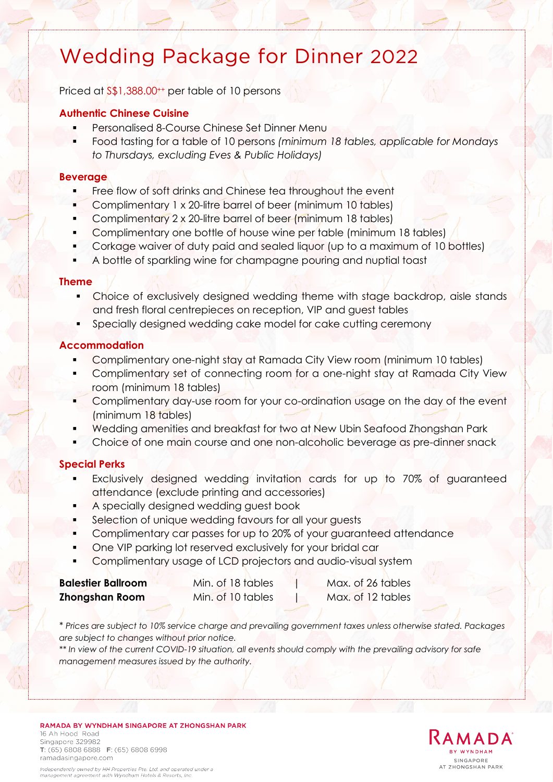# Wedding Package for Dinner 2022

Priced at  $\frac{1}{5}$ , 388.00<sup>++</sup> per table of 10 persons

### **Authentic Chinese Cuisine**

- Personalised 8-Course Chinese Set Dinner Menu
- Food tasting for a table of 10 persons *(minimum 18 tables, applicable for Mondays to Thursdays, excluding Eves & Public Holidays)*

### **Beverage**

- Free flow of soft drinks and Chinese tea throughout the event
- Complimentary 1 x 20-litre barrel of beer (minimum 10 tables)
- Complimentary 2 x 20-litre barrel of beer (minimum 18 tables)
- Complimentary one bottle of house wine per table (minimum 18 tables)
- Corkage waiver of duty paid and sealed liquor (up to a maximum of 10 bottles)
- A bottle of sparkling wine for champagne pouring and nuptial toast

### **Theme**

- Choice of exclusively designed wedding theme with stage backdrop, aisle stands and fresh floral centrepieces on reception, VIP and guest tables
- Specially designed wedding cake model for cake cutting ceremony

### **Accommodation**

- Complimentary one-night stay at Ramada City View room (minimum 10 tables)
- Complimentary set of connecting room for a one-night stay at Ramada City View room (minimum 18 tables)
- Complimentary day-use room for your co-ordination usage on the day of the event (minimum 18 tables)
- Wedding amenities and breakfast for two at New Ubin Seafood Zhongshan Park
- Choice of one main course and one non-alcoholic beverage as pre-dinner snack

### **Special Perks**

- Exclusively designed wedding invitation cards for up to 70% of guaranteed attendance (exclude printing and accessories)
- A specially designed wedding guest book
- Selection of unique wedding favours for all your guests
- Complimentary car passes for up to 20% of your guaranteed attendance
- One VIP parking lot reserved exclusively for your bridal car
- Complimentary usage of LCD projectors and audio-visual system

| <b>Balestier Ballroom</b> | Min. of 18 tables | Max. of 26 tables |
|---------------------------|-------------------|-------------------|
| Zhongshan Room            | Min. of 10 tables | Max. of 12 tables |

*\* Prices are subject to 10% service charge and prevailing government taxes unless otherwise stated. Packages are subject to changes without prior notice.* 

*\*\* In view of the current COVID-19 situation, all events should comply with the prevailing advisory for safe management measures issued by the authority.*

RAMADA BY WYNDHAM SINGAPORE AT ZHONGSHAN PARK 16 Ah Hood Road Singapore 329982 T: (65) 6808 6888 F: (65) 6808 6998



ramadasingapore.com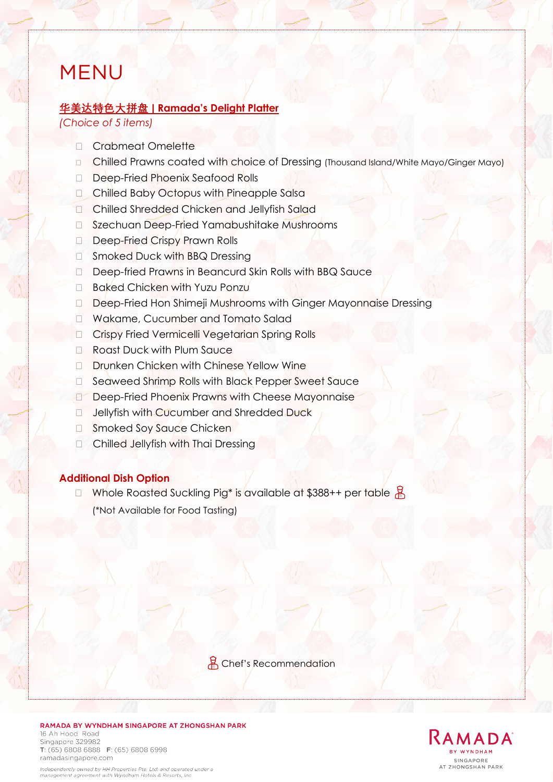# MENU

### **华美达特色大拼盘 | Ramada's Delight Platter**

*(Choice of 5 items)*

- Crabmeat Omelette
- □ Chilled Prawns coated with choice of Dressing (Thousand Island/White Mayo/Ginger Mayo)
- Deep-Fried Phoenix Seafood Rolls
- Chilled Baby Octopus with Pineapple Salsa
- Chilled Shredded Chicken and Jellyfish Salad
- □ Szechuan Deep-Fried Yamabushitake Mushrooms
- Deep-Fried Crispy Prawn Rolls
- □ Smoked Duck with BBQ Dressing
- Deep-fried Prawns in Beancurd Skin Rolls with BBQ Sauce
- □ Baked Chicken with Yuzu Ponzu
- Deep-Fried Hon Shimeji Mushrooms with Ginger Mayonnaise Dressing
- Wakame, Cucumber and Tomato Salad
- Crispy Fried Vermicelli Vegetarian Spring Rolls
- □ Roast Duck with Plum Sauce
- □ Drunken Chicken with Chinese Yellow Wine
- □ Seaweed Shrimp Rolls with Black Pepper Sweet Sauce
- Deep-Fried Phoenix Prawns with Cheese Mayonnaise
- □ Jellyfish with Cucumber and Shredded Duck
- □ Smoked Soy Sauce Chicken
- **Chilled Jellyfish with Thai Dressing**

### **Additional Dish Option**

 $\Box$  Whole Roasted Suckling Pig\* is available at \$388++ per table  $\frac{12}{10}$ (\*Not Available for Food Tasting)

용 Chef's Recommendation

RAMADA BY WYNDHAM SINGAPORE AT ZHONGSHAN PARK 16 Ah Hood Road Singapore 329982 T: (65) 6808 6888 F: (65) 6808 6998



Independently owned by HH Properties Pte. Ltd. and operated under a management agreement with Wyndham Hotels & Resorts, Inc.

ramadasingapore.com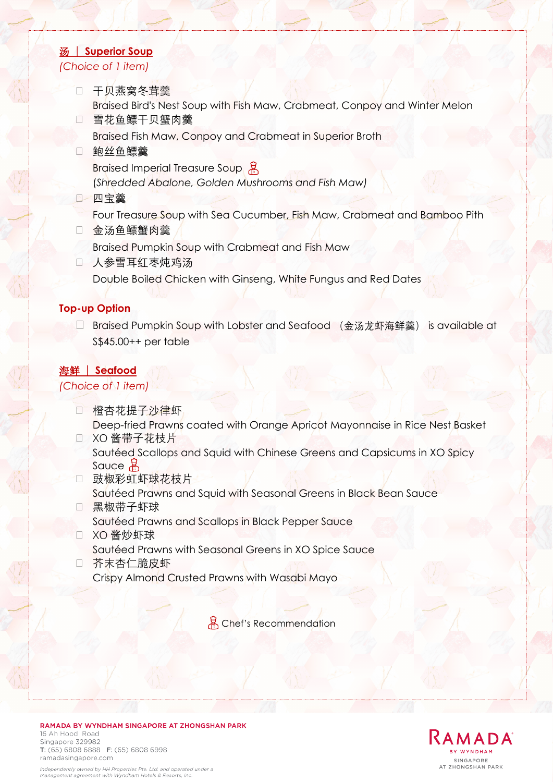### 汤 | **Superior Soup** *(Choice of 1 item)*

 干贝燕窝冬茸羹 Braised Bird's Nest Soup with Fish Maw, Crabmeat, Conpoy and Winter Melon 雪花鱼鳔干贝蟹肉羹

Braised Fish Maw, Conpoy and Crabmeat in Superior Broth

- □ 鲍丝鱼鳔羹 Braised Imperial Treasure Soup (*Shredded Abalone, Golden Mushrooms and Fish Maw)*
- 四宝羹

Four Treasure Soup with Sea Cucumber, Fish Maw, Crabmeat and Bamboo Pith

- □ 金汤鱼鳔蟹肉羹 Braised Pumpkin Soup with Crabmeat and Fish Maw □ 人参雪耳红枣炖鸡汤
- Double Boiled Chicken with Ginseng, White Fungus and Red Dates

### **Top-up Option**

□ Braised Pumpkin Soup with Lobster and Seafood (金汤龙虾海鲜羹) is available at S\$45.00++ per table

### 海鲜 | **Seafood**

*(Choice of 1 item)*

- 橙杏花提子沙律虾 Deep-fried Prawns coated with Orange Apricot Mayonnaise in Rice Nest Basket
- □ XO 酱带子花枝片 Sautéed Scallops and Squid with Chinese Greens and Capsicums in XO Spicy Sauce &
- □ 豉椒彩虹虾球花枝片 Sautéed Prawns and Squid with Seasonal Greens in Black Bean Sauce
- 黑椒带子虾球 Sautéed Prawns and Scallops in Black Pepper Sauce □ XO 酱炒虾球
	- Sautéed Prawns with Seasonal Greens in XO Spice Sauce
- 芥末杏仁脆皮虾 Crispy Almond Crusted Prawns with Wasabi Mayo

용 Chef's Recommendation





Independently owned by HH Properties Pte. Ltd. and operated under a management agreement with Wyndham Hotels & Resorts, Inc.

T: (65) 6808 6888 F: (65) 6808 6998

Singapore 329982

ramadasingapore.com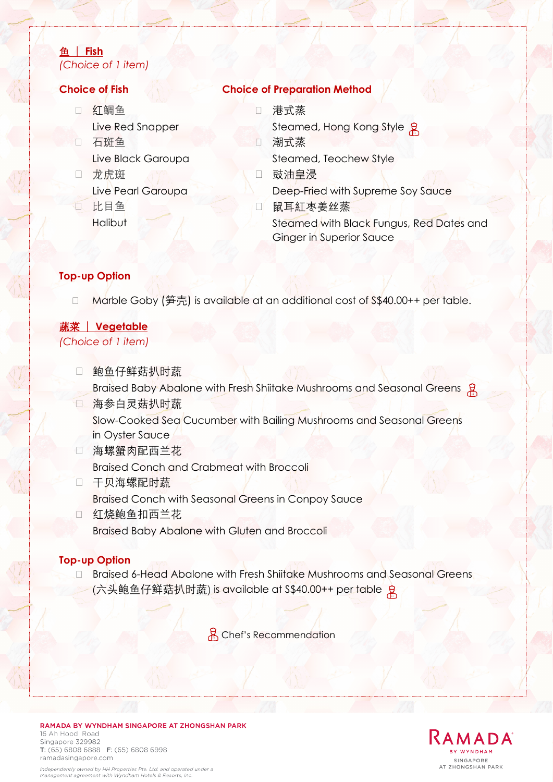### 鱼 | **Fish** *(Choice of 1 item)*

- □ 红鲷鱼 Live Red Snapper
- 石斑鱼 Live Black Garoupa
- 口 龙虎斑 Live Pearl Garoupa
- 比目鱼 **Halibut**

## **Choice of Fish Choice of Preparation Method**

- 港式蒸
- Steamed, Hong Kong Style 潮式蒸

Steamed, Teochew Style

- 豉油皇浸 Deep-Fried with Supreme Soy Sauce
- □ 鼠耳紅枣姜丝蒸 Steamed with Black Fungus, Red Dates and Ginger in Superior Sauce

### **Top-up Option**

□ Marble Goby (笋壳) is available at an additional cost of S\$40.00++ per table.

# 蔬菜 | **Vegetable**

*(Choice of 1 item)*

- □ 鲍鱼仔鲜菇扒时蔬 Braised Baby Abalone with Fresh Shiitake Mushrooms and Seasonal Greens &
- 海参白灵菇扒时蔬 Slow-Cooked Sea Cucumber with Bailing Mushrooms and Seasonal Greens in Oyster Sauce
- □ 海螺蟹肉配西兰花 Braised Conch and Crabmeat with Broccoli
- 口 干贝海螺配时蔬 Braised Conch with Seasonal Greens in Conpoy Sauce
- □ 红烧鲍鱼扣西兰花 Braised Baby Abalone with Gluten and Broccoli

### **Top-up Option**

□ Braised 6-Head Abalone with Fresh Shiitake Mushrooms and Seasonal Greens (六头鲍鱼仔鲜菇扒时蔬) is available at S\$40.00++ per table

용 Chef's Recommendation

### RAMADA BY WYNDHAM SINGAPORE AT ZHONGSHAN PARK 16 Ah Hood Road Singapore 329982

T: (65) 6808 6888 F: (65) 6808 6998 ramadasingapore.com Independently owned by HH Properties Pte. Ltd. and operated under a

management agreement with Wyndham Hotels & Resorts, Inc.

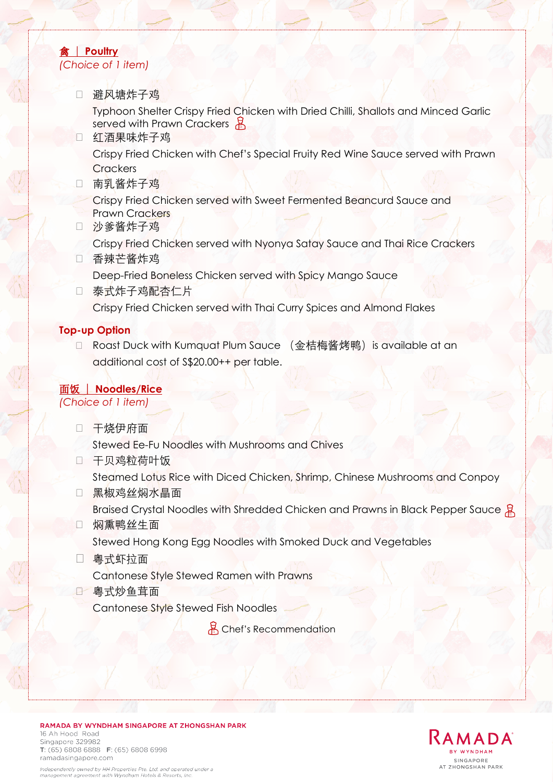## 禽 | **Poultry** *(Choice of 1 item)*

避风塘炸子鸡

Typhoon Shelter Crispy Fried Chicken with Dried Chilli, Shallots and Minced Garlic served with Prawn Crackers 봄

- □ 红酒果味炸子鸡 Crispy Fried Chicken with Chef's Special Fruity Red Wine Sauce served with Prawn **Crackers**
- □ 南乳酱炸子鸡

Crispy Fried Chicken served with Sweet Fermented Beancurd Sauce and Prawn Crackers

- 沙爹酱炸子鸡
- Crispy Fried Chicken served with Nyonya Satay Sauce and Thai Rice Crackers
- □ 香辣芒酱炸鸡
	- Deep-Fried Boneless Chicken served with Spicy Mango Sauce
- 口 泰式炸子鸡配杏仁片 Crispy Fried Chicken served with Thai Curry Spices and Almond Flakes

### **Top-up Option**

□ Roast Duck with Kumquat Plum Sauce (金桔梅酱烤鸭) is available at an additional cost of S\$20.00++ per table.

面饭 | **Noodles/Rice**

*(Choice of 1 item)*

口 干烧伊府面

Stewed Ee-Fu Noodles with Mushrooms and Chives

□ 干贝鸡粒荷叶饭

Steamed Lotus Rice with Diced Chicken, Shrimp, Chinese Mushrooms and Conpoy

□ 黑椒鸡丝焖水晶面

Braised Crystal Noodles with Shredded Chicken and Prawns in Black Pepper Sauce &

□ 焖熏鸭丝牛面

Stewed Hong Kong Egg Noodles with Smoked Duck and Vegetables

粤式虾拉面

Cantonese Style Stewed Ramen with Prawns

粤式炒鱼茸面

Cantonese Style Stewed Fish Noodles

용 Chef's Recommendation



### RAMADA BY WYNDHAM SINGAPORE AT ZHONGSHAN PARK 16 Ah Hood, Road

Singapore 329982 T: (65) 6808 6888 F: (65) 6808 6998 ramadasingapore.com